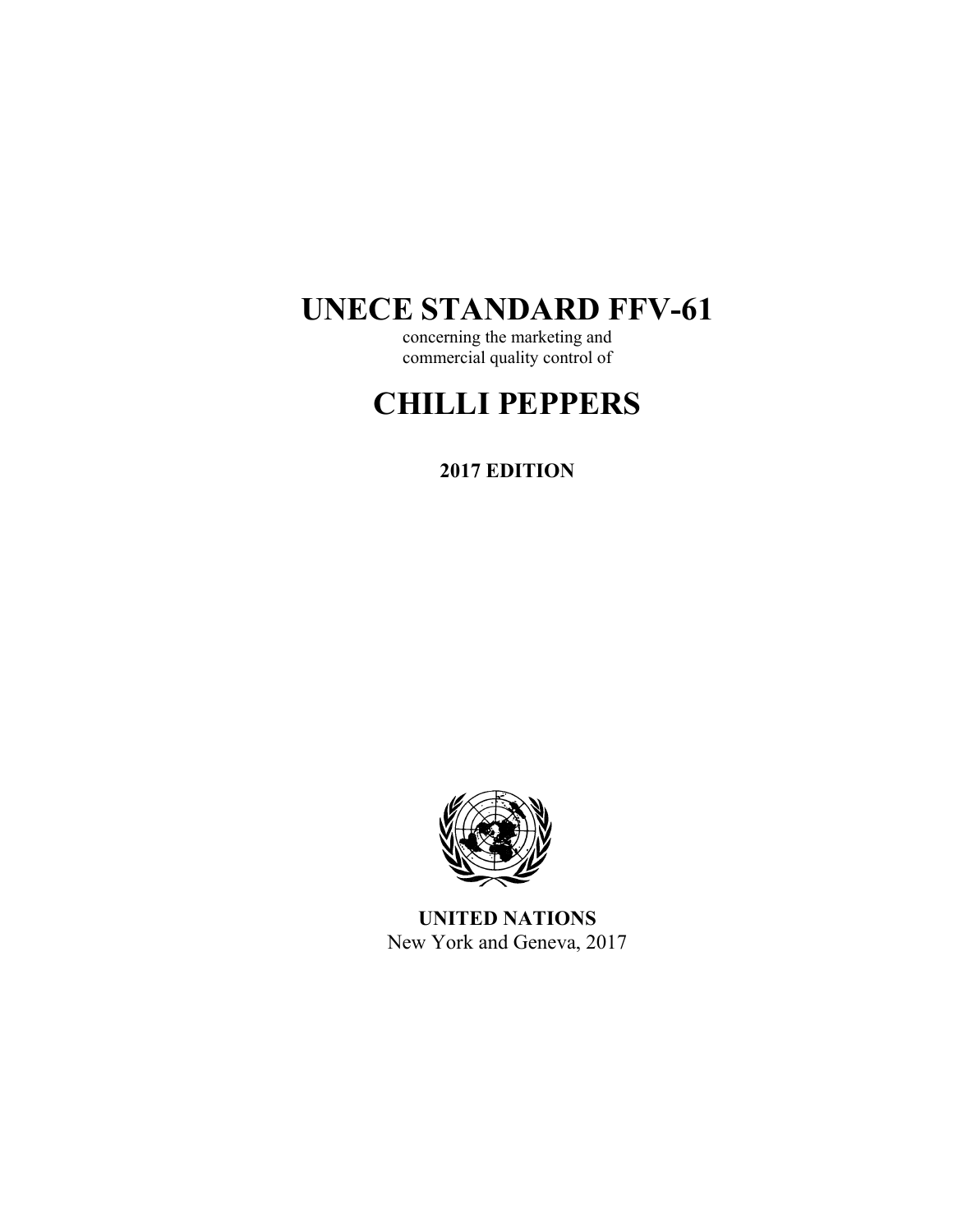# **UNECE STANDARD FFV-61**

concerning the marketing and commercial quality control of

# **CHILLI PEPPERS**

**2017 EDITION** 



**UNITED NATIONS**  New York and Geneva, 2017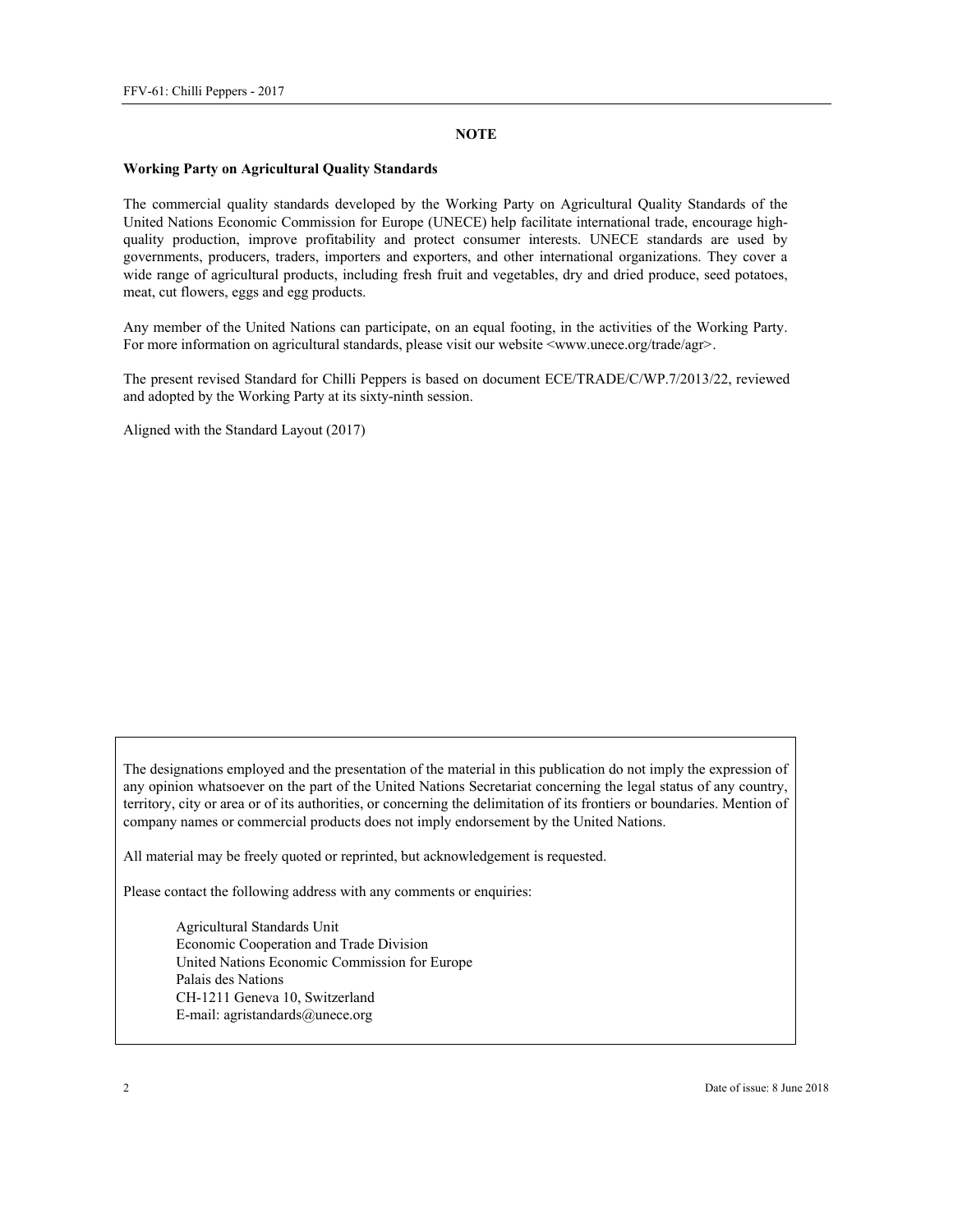#### **NOTE**

#### **Working Party on Agricultural Quality Standards**

The commercial quality standards developed by the Working Party on Agricultural Quality Standards of the United Nations Economic Commission for Europe (UNECE) help facilitate international trade, encourage highquality production, improve profitability and protect consumer interests. UNECE standards are used by governments, producers, traders, importers and exporters, and other international organizations. They cover a wide range of agricultural products, including fresh fruit and vegetables, dry and dried produce, seed potatoes, meat, cut flowers, eggs and egg products.

Any member of the United Nations can participate, on an equal footing, in the activities of the Working Party. For more information on agricultural standards, please visit our website <www.unece.org/trade/agr>.

The present revised Standard for Chilli Peppers is based on document ECE/TRADE/C/WP.7/2013/22, reviewed and adopted by the Working Party at its sixty-ninth session.

Aligned with the Standard Layout (2017)

The designations employed and the presentation of the material in this publication do not imply the expression of any opinion whatsoever on the part of the United Nations Secretariat concerning the legal status of any country, territory, city or area or of its authorities, or concerning the delimitation of its frontiers or boundaries. Mention of company names or commercial products does not imply endorsement by the United Nations.

All material may be freely quoted or reprinted, but acknowledgement is requested.

Please contact the following address with any comments or enquiries:

Agricultural Standards Unit Economic Cooperation and Trade Division United Nations Economic Commission for Europe Palais des Nations CH-1211 Geneva 10, Switzerland E-mail: agristandards@unece.org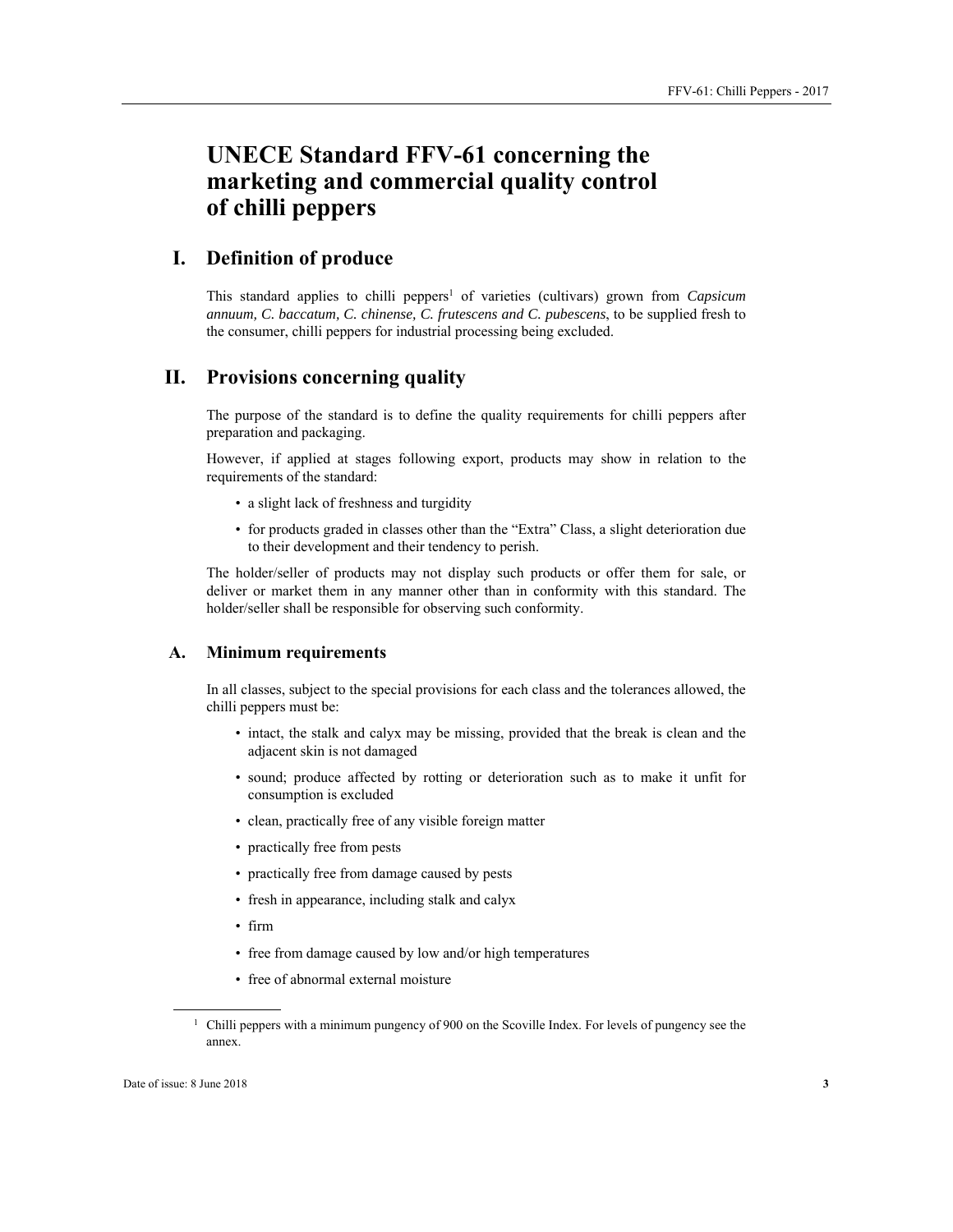## **UNECE Standard FFV-61 concerning the marketing and commercial quality control of chilli peppers**

### **I. Definition of produce**

This standard applies to chilli peppers<sup>1</sup> of varieties (cultivars) grown from *Capsicum annuum, C. baccatum, C. chinense, C. frutescens and C. pubescens*, to be supplied fresh to the consumer, chilli peppers for industrial processing being excluded.

#### **II. Provisions concerning quality**

The purpose of the standard is to define the quality requirements for chilli peppers after preparation and packaging.

However, if applied at stages following export, products may show in relation to the requirements of the standard:

- a slight lack of freshness and turgidity
- for products graded in classes other than the "Extra" Class, a slight deterioration due to their development and their tendency to perish.

The holder/seller of products may not display such products or offer them for sale, or deliver or market them in any manner other than in conformity with this standard. The holder/seller shall be responsible for observing such conformity.

#### **A. Minimum requirements**

In all classes, subject to the special provisions for each class and the tolerances allowed, the chilli peppers must be:

- intact, the stalk and calyx may be missing, provided that the break is clean and the adjacent skin is not damaged
- sound; produce affected by rotting or deterioration such as to make it unfit for consumption is excluded
- clean, practically free of any visible foreign matter
- practically free from pests
- practically free from damage caused by pests
- fresh in appearance, including stalk and calyx
- firm
- free from damage caused by low and/or high temperatures
- free of abnormal external moisture

 $\overline{a}$ 

 $1$  Chilli peppers with a minimum pungency of 900 on the Scoville Index. For levels of pungency see the annex.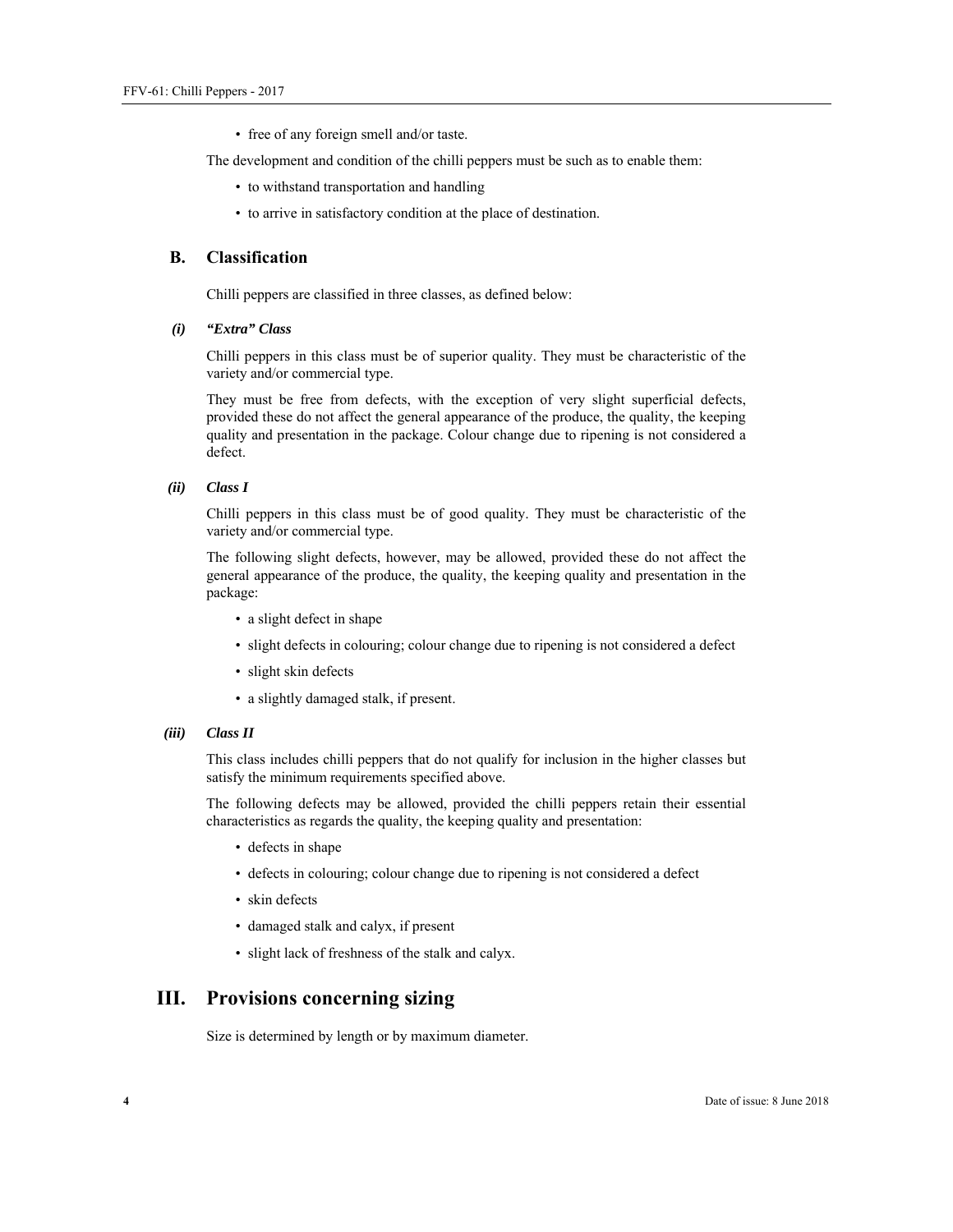• free of any foreign smell and/or taste.

The development and condition of the chilli peppers must be such as to enable them:

- to withstand transportation and handling
- to arrive in satisfactory condition at the place of destination.

#### **B. Classification**

Chilli peppers are classified in three classes, as defined below:

*(i) "Extra" Class* 

Chilli peppers in this class must be of superior quality. They must be characteristic of the variety and/or commercial type.

They must be free from defects, with the exception of very slight superficial defects, provided these do not affect the general appearance of the produce, the quality, the keeping quality and presentation in the package. Colour change due to ripening is not considered a defect.

#### *(ii) Class I*

Chilli peppers in this class must be of good quality. They must be characteristic of the variety and/or commercial type.

The following slight defects, however, may be allowed, provided these do not affect the general appearance of the produce, the quality, the keeping quality and presentation in the package:

- a slight defect in shape
- slight defects in colouring; colour change due to ripening is not considered a defect
- slight skin defects
- a slightly damaged stalk, if present.
- *(iii) Class II*

This class includes chilli peppers that do not qualify for inclusion in the higher classes but satisfy the minimum requirements specified above.

The following defects may be allowed, provided the chilli peppers retain their essential characteristics as regards the quality, the keeping quality and presentation:

- defects in shape
- defects in colouring; colour change due to ripening is not considered a defect
- skin defects
- damaged stalk and calyx, if present
- slight lack of freshness of the stalk and calyx.

#### **III. Provisions concerning sizing**

Size is determined by length or by maximum diameter.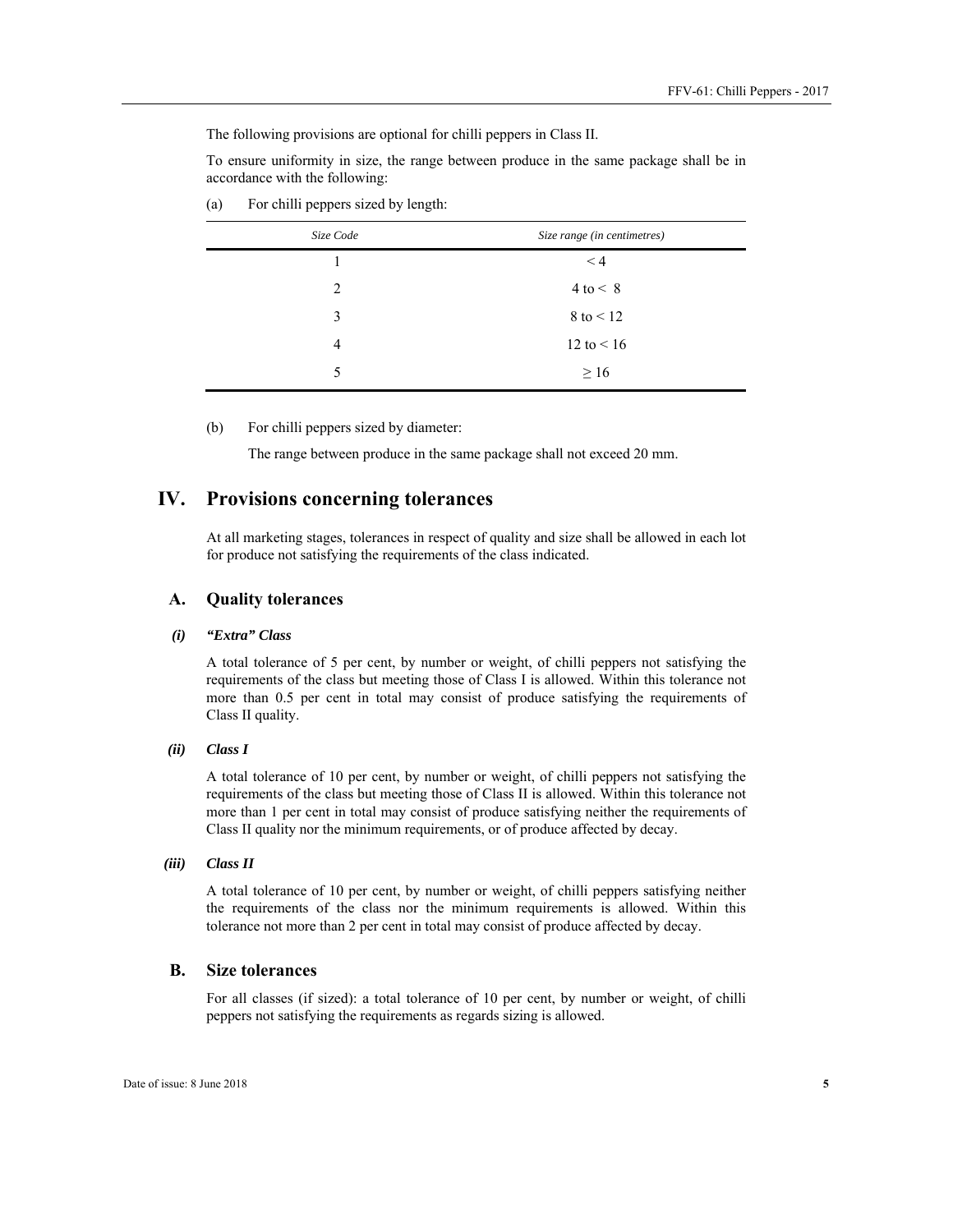The following provisions are optional for chilli peppers in Class II.

To ensure uniformity in size, the range between produce in the same package shall be in accordance with the following:

| Size Code      | Size range (in centimetres) |
|----------------|-----------------------------|
|                | $\leq 4$                    |
| $\mathfrak{D}$ | $4$ to $\leq 8$             |
| 3              | $8$ to $\leq 12$            |
| 4              | 12 to $< 16$                |
| 5              | $\geq 16$                   |

(a) For chilli peppers sized by length:

(b) For chilli peppers sized by diameter:

The range between produce in the same package shall not exceed 20 mm.

#### **IV. Provisions concerning tolerances**

At all marketing stages, tolerances in respect of quality and size shall be allowed in each lot for produce not satisfying the requirements of the class indicated.

#### **A. Quality tolerances**

#### *(i) "Extra" Class*

A total tolerance of 5 per cent, by number or weight, of chilli peppers not satisfying the requirements of the class but meeting those of Class I is allowed. Within this tolerance not more than 0.5 per cent in total may consist of produce satisfying the requirements of Class II quality.

#### *(ii) Class I*

A total tolerance of 10 per cent, by number or weight, of chilli peppers not satisfying the requirements of the class but meeting those of Class II is allowed. Within this tolerance not more than 1 per cent in total may consist of produce satisfying neither the requirements of Class II quality nor the minimum requirements, or of produce affected by decay.

#### *(iii) Class II*

A total tolerance of 10 per cent, by number or weight, of chilli peppers satisfying neither the requirements of the class nor the minimum requirements is allowed. Within this tolerance not more than 2 per cent in total may consist of produce affected by decay.

#### **B. Size tolerances**

For all classes (if sized): a total tolerance of 10 per cent, by number or weight, of chilli peppers not satisfying the requirements as regards sizing is allowed.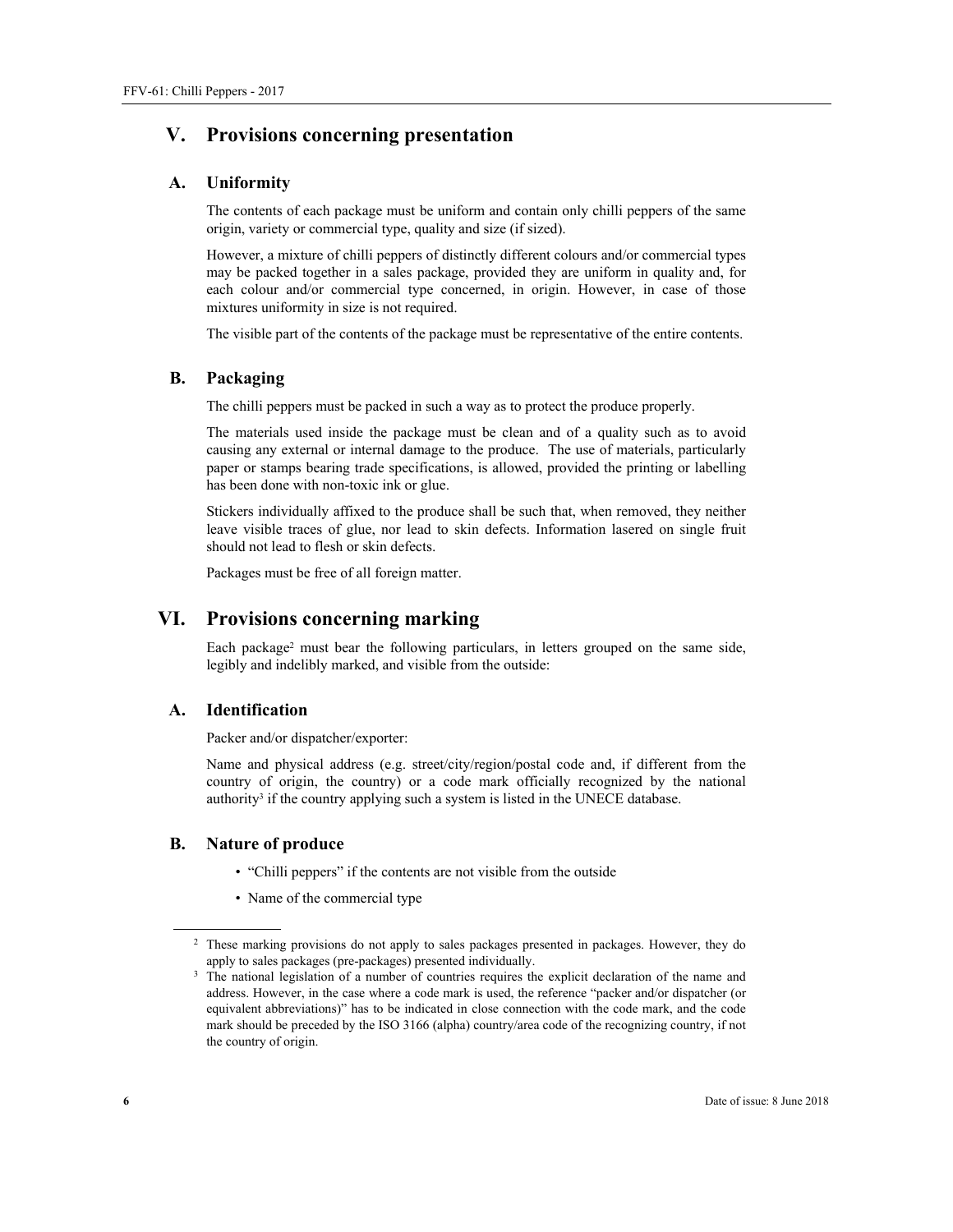## **V. Provisions concerning presentation**

#### **A. Uniformity**

The contents of each package must be uniform and contain only chilli peppers of the same origin, variety or commercial type, quality and size (if sized).

However, a mixture of chilli peppers of distinctly different colours and/or commercial types may be packed together in a sales package, provided they are uniform in quality and, for each colour and/or commercial type concerned, in origin. However, in case of those mixtures uniformity in size is not required.

The visible part of the contents of the package must be representative of the entire contents.

#### **B. Packaging**

The chilli peppers must be packed in such a way as to protect the produce properly.

The materials used inside the package must be clean and of a quality such as to avoid causing any external or internal damage to the produce. The use of materials, particularly paper or stamps bearing trade specifications, is allowed, provided the printing or labelling has been done with non-toxic ink or glue.

Stickers individually affixed to the produce shall be such that, when removed, they neither leave visible traces of glue, nor lead to skin defects. Information lasered on single fruit should not lead to flesh or skin defects.

Packages must be free of all foreign matter.

### **VI. Provisions concerning marking**

Each package<sup>2</sup> must bear the following particulars, in letters grouped on the same side, legibly and indelibly marked, and visible from the outside:

#### **A. Identification**

Packer and/or dispatcher/exporter:

Name and physical address (e.g. street/city/region/postal code and, if different from the country of origin, the country) or a code mark officially recognized by the national authority<sup>3</sup> if the country applying such a system is listed in the UNECE database.

#### **B. Nature of produce**

- "Chilli peppers" if the contents are not visible from the outside
- Name of the commercial type

 $\overline{a}$ 

<sup>&</sup>lt;sup>2</sup> These marking provisions do not apply to sales packages presented in packages. However, they do apply to sales packages (pre-packages) presented individually.<br><sup>3</sup> The national legislation of a number of countries requires the explicit declaration of the name and

address. However, in the case where a code mark is used, the reference "packer and/or dispatcher (or equivalent abbreviations)" has to be indicated in close connection with the code mark, and the code mark should be preceded by the ISO 3166 (alpha) country/area code of the recognizing country, if not the country of origin.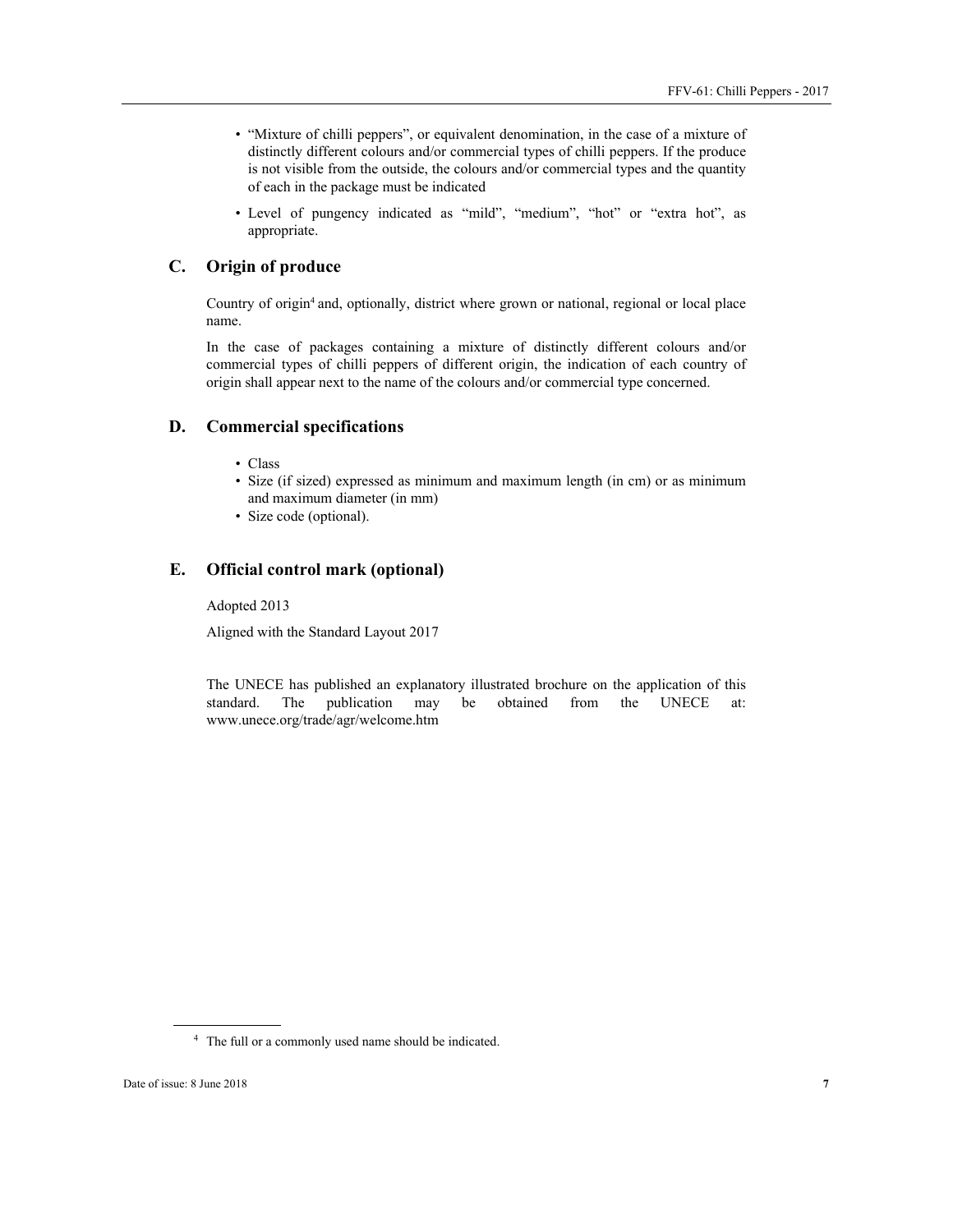- "Mixture of chilli peppers", or equivalent denomination, in the case of a mixture of distinctly different colours and/or commercial types of chilli peppers. If the produce is not visible from the outside, the colours and/or commercial types and the quantity of each in the package must be indicated
- Level of pungency indicated as "mild", "medium", "hot" or "extra hot", as appropriate.

#### **C. Origin of produce**

Country of origin<sup>4</sup> and, optionally, district where grown or national, regional or local place name.

In the case of packages containing a mixture of distinctly different colours and/or commercial types of chilli peppers of different origin, the indication of each country of origin shall appear next to the name of the colours and/or commercial type concerned.

#### **D. Commercial specifications**

- Class
- Size (if sized) expressed as minimum and maximum length (in cm) or as minimum and maximum diameter (in mm)
- Size code (optional).

#### **E. Official control mark (optional)**

Adopted 2013

Aligned with the Standard Layout 2017

The UNECE has published an explanatory illustrated brochure on the application of this standard. The publication may be obtained from the UNECE at: www.unece.org/trade/agr/welcome.htm

 $\overline{a}$ 

<sup>4</sup> The full or a commonly used name should be indicated.